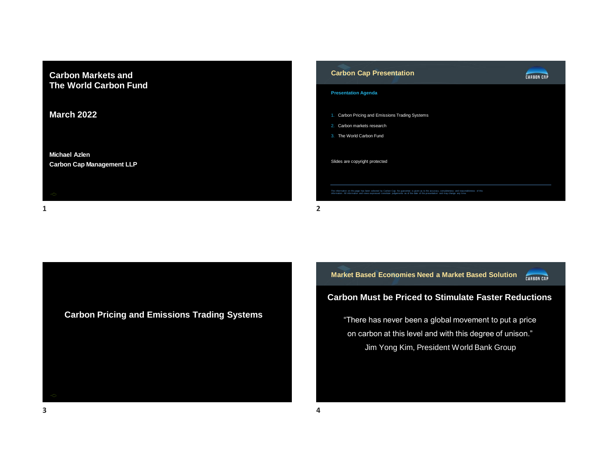

| - |  |
|---|--|
|   |  |



**Carbon Pricing and Emissions Trading Systems**

**Market Based Economies Need a Market Based Solution CARBON CAP** 

# **Carbon Must be Priced to Stimulate Faster Reductions**

"There has never been a global movement to put a price on carbon at this level and with this degree of unison." Jim Yong Kim, President World Bank Group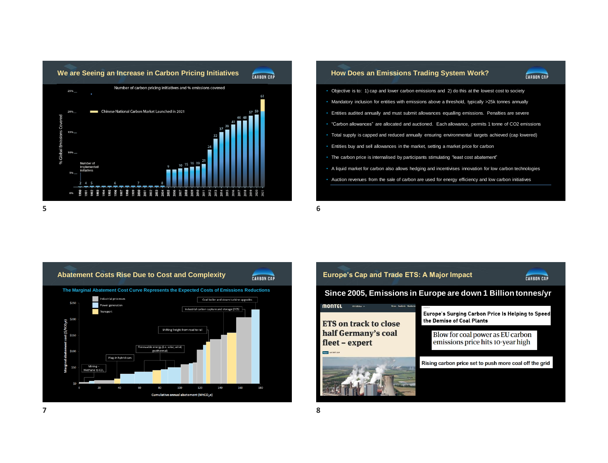

**CARBON CAP** 

- Objective is to: 1) cap and lower carbon emissions and 2) do this at the lowest cost to society
- Mandatory inclusion for entities with emissions above a threshold, typically >25k tonnes annually
- Entities audited annually and must submit allowances equalling emissions. Penalties are severe
- "Carbon allowances" are allocated and auctioned. Each allowance, permits 1 tonne of CO2 emissions
- Total supply is capped and reduced annually ensuring environmental targets achieved (cap lowered)
- Entities buy and sell allowances in the market, setting a market price for carbon
- The carbon price is internalised by participants stimulating "least cost abatement"
- A liquid market for carbon also allows hedging and incentivises innovation for low carbon technologies
- Auction revenues from the sale of carbon are used for energy efficiency and low carbon initiatives



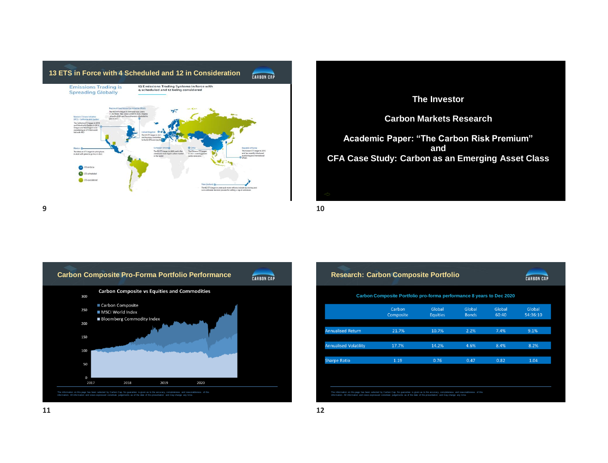





| <b>Research: Carbon Composite Portfolio</b>                          |                     |                           |                        |                 |                    |  |
|----------------------------------------------------------------------|---------------------|---------------------------|------------------------|-----------------|--------------------|--|
| Carbon Composite Portfolio pro-forma performance 8 years to Dec 2020 |                     |                           |                        |                 |                    |  |
|                                                                      | Carbon<br>Composite | Global<br><b>Equities</b> | Global<br><b>Bonds</b> | Global<br>60:40 | Global<br>54:36:10 |  |
| <b>Annualised Return</b>                                             | 21.7%               | 10.7%                     | 2.2%                   | 7.4%            | 9.1%               |  |
| <b>Annualised Volatility</b>                                         | 17.7%               | 14.2%                     | 4.6%                   | 8.4%            | 8.2%               |  |
| <b>Sharpe Ratio</b>                                                  | 1.19                | 0.76                      | 0.47                   | 0.82            | 1.04               |  |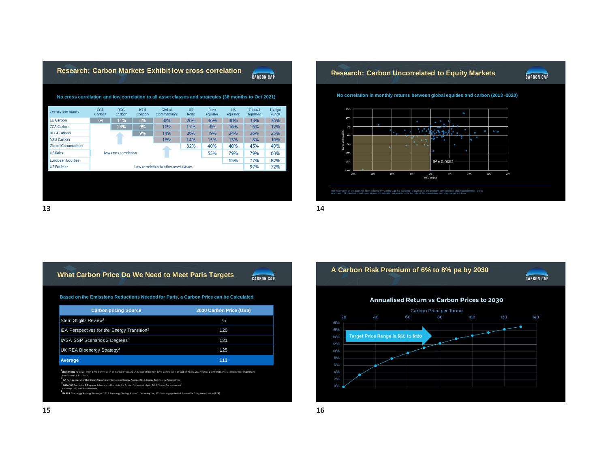|                                                                                                      | <b>Research: Carbon Markets Exhibit low cross correlation</b><br><b>CARBON CAP</b> |                       |                      |                       |                           |                         |                              |                           |                       |
|------------------------------------------------------------------------------------------------------|------------------------------------------------------------------------------------|-----------------------|----------------------|-----------------------|---------------------------|-------------------------|------------------------------|---------------------------|-----------------------|
| No cross correlation and low correlation to all asset classes and strategies (36 months to Oct 2021) |                                                                                    |                       |                      |                       |                           |                         |                              |                           |                       |
| <b>Correlation Matrix</b>                                                                            | <b>CCA</b><br>Carbon                                                               | <b>RGGI</b><br>Carbon | <b>NZU</b><br>Carbon | Global<br>Commodities | <b>US</b><br><b>Reits</b> | Euro<br><b>Equities</b> | <b>HS</b><br><b>Equities</b> | Global<br><b>Equities</b> | Hedge<br><b>Funds</b> |
| <b>EU Carbon</b>                                                                                     | 3%                                                                                 | 11%                   | 4%                   | 32%                   | 26%                       | 36%                     | 30%                          | 33%                       | 36%                   |
| <b>CCA Carbon</b>                                                                                    |                                                                                    | 28%                   | 9%                   | 10%                   | 17%                       | 4%                      | 16%                          | 16%                       | 12%                   |
| <b>RGGI Carbon</b>                                                                                   | 9%<br>Low cross correlation                                                        |                       |                      | 14%                   | 26%                       | 19%                     | 24%                          | 26%                       | 25%                   |
| N7U Carbon                                                                                           |                                                                                    |                       |                      | 18%                   | 14%                       | 15%                     | 13%                          | 18%                       | 19%                   |
| <b>Global Commodities</b>                                                                            |                                                                                    |                       |                      |                       | 32%                       | 40%                     | 40%                          | 45%                       | 49%                   |
| <b>US Reits</b>                                                                                      |                                                                                    |                       |                      |                       |                           | 55%                     | 79%                          | 79%                       | 63%                   |
| <b>European Equities</b>                                                                             |                                                                                    |                       |                      |                       |                           |                         | 65%                          | 77%                       | 82%                   |
| <b>US Equities</b>                                                                                   | Low correlation to other asset classes                                             |                       |                      |                       |                           |                         |                              | 97%                       | 72%                   |
|                                                                                                      |                                                                                    |                       |                      |                       |                           |                         |                              |                           |                       |
|                                                                                                      |                                                                                    |                       |                      |                       |                           |                         |                              |                           |                       |
|                                                                                                      |                                                                                    |                       |                      |                       |                           |                         |                              |                           |                       |
|                                                                                                      |                                                                                    |                       |                      |                       |                           |                         |                              |                           |                       |







## **What Carbon Price Do We Need to Meet Paris Targets**

**CARBON CAP** 



| <b>Carbon pricing Source</b>                            | 2030 Carbon Price (US\$) |
|---------------------------------------------------------|--------------------------|
| Stern Stiglitz Review <sup>1</sup>                      | 75                       |
| IEA Perspectives for the Energy Transition <sup>2</sup> | 120                      |
| IIASA SSP Scenarios 2 Degrees <sup>3</sup>              | 131                      |
| UK REA Bioenergy Strategy <sup>4</sup>                  | 125                      |
| Average                                                 | 113                      |

**1**<br>**Stern Stiglitz Review:** - High-Level Commission on Carbon Prices. 2017. Report of the High-Level Commission on Carbon Prices. Washington, DC: World Bank. License: Creative Commons Attribution CC BY 3.0 IGO

**IEW 2017 Forces** 

**³IIASA SSP Scenarios 2 Degrees:** International Institute for Applied Systems Analysis. 2019. Shared Socioeconomic

Pathways (SP) Scenario Database. **itrategy:** Brown, A. 2019. Bioenergy

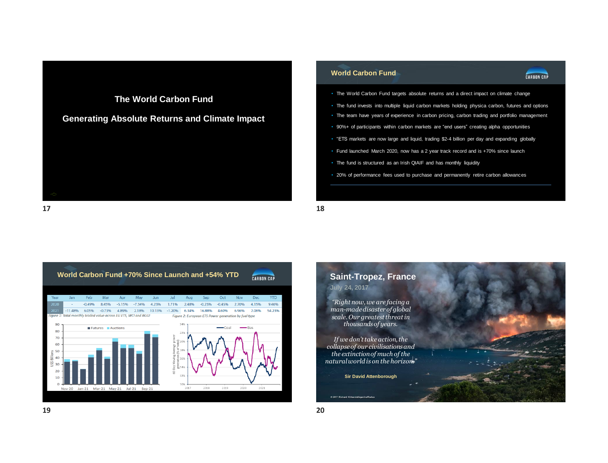# **The World Carbon Fund Generating Absolute Returns and Climate Impact**

### **World Carbon Fund**



- The World Carbon Fund targets absolute returns and a direct impact on climate change
- The fund invests into multiple liquid carbon markets holding physica carbon, futures and options
- The team have years of experience in carbon pricing, carbon trading and portfolio management
- 90%+ of participants within carbon markets are "end users" creating alpha opportunities
- "ETS markets are now large and liquid, trading \$2-4 billion per day and expanding globally
- Fund launched March 2020, now has a 2 year track record and is +70% since launch
- The fund is structured as an Irish QIAIF and has monthly liquidity
- 20% of performance fees used to purchase and permanently retire carbon allowances





**17 18**